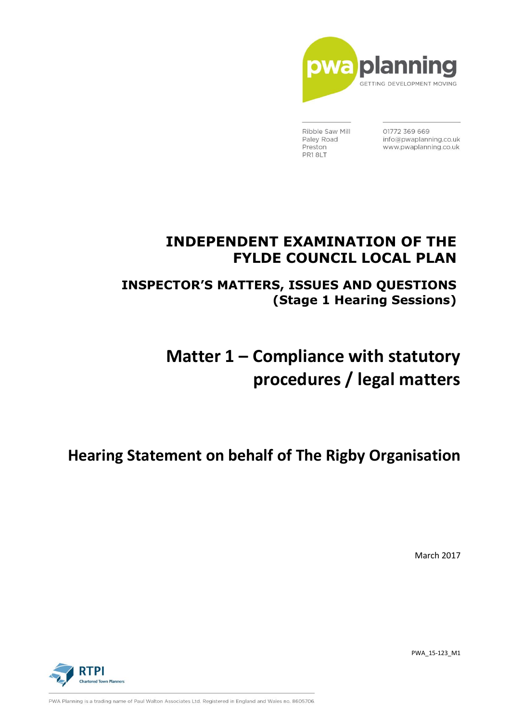

Ribble Saw Mill Paley Road Preston PR18LT

01772 369 669 info@pwaplanning.co.uk www.pwaplanning.co.uk

## **INDEPENDENT EXAMINATION OF THE FYLDE COUNCIL LOCAL PLAN**

**INSPECTOR'S MATTERS, ISSUES AND QUESTIONS (Stage 1 Hearing Sessions)**

# **Matter 1 – Compliance with statutory procedures / legal matters**

## **Hearing Statement on behalf of The Rigby Organisation**

March 2017

**PTPI** 

PWA\_15-123\_M1

PWA Planning is a trading name of Paul Walton Associates Ltd. Registered in England and Wales no. 8605706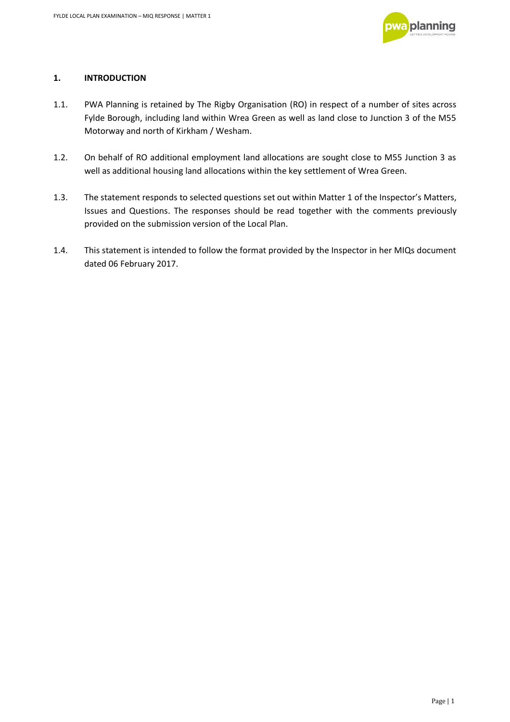

## **1. INTRODUCTION**

- 1.1. PWA Planning is retained by The Rigby Organisation (RO) in respect of a number of sites across Fylde Borough, including land within Wrea Green as well as land close to Junction 3 of the M55 Motorway and north of Kirkham / Wesham.
- 1.2. On behalf of RO additional employment land allocations are sought close to M55 Junction 3 as well as additional housing land allocations within the key settlement of Wrea Green.
- 1.3. The statement responds to selected questions set out within Matter 1 of the Inspector's Matters, Issues and Questions. The responses should be read together with the comments previously provided on the submission version of the Local Plan.
- 1.4. This statement is intended to follow the format provided by the Inspector in her MIQs document dated 06 February 2017.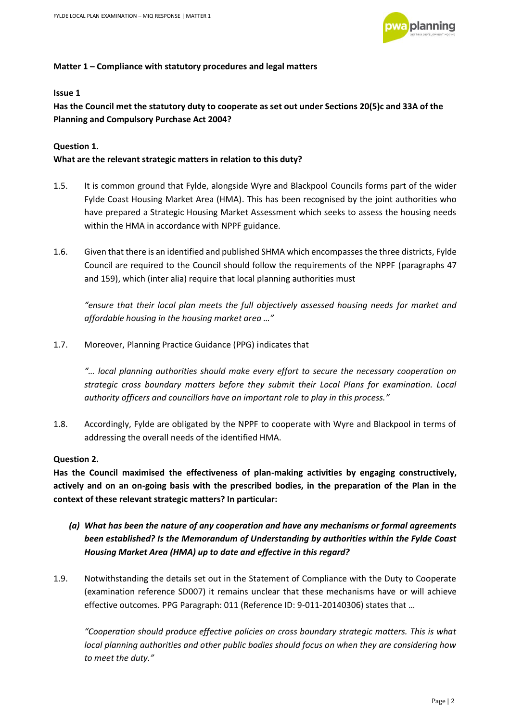

#### **Matter 1 – Compliance with statutory procedures and legal matters**

#### **Issue 1**

**Has the Council met the statutory duty to cooperate as set out under Sections 20(5)c and 33A of the Planning and Compulsory Purchase Act 2004?** 

## **Question 1.**

## **What are the relevant strategic matters in relation to this duty?**

- 1.5. It is common ground that Fylde, alongside Wyre and Blackpool Councils forms part of the wider Fylde Coast Housing Market Area (HMA). This has been recognised by the joint authorities who have prepared a Strategic Housing Market Assessment which seeks to assess the housing needs within the HMA in accordance with NPPF guidance.
- 1.6. Given that there is an identified and published SHMA which encompasses the three districts, Fylde Council are required to the Council should follow the requirements of the NPPF (paragraphs 47 and 159), which (inter alia) require that local planning authorities must

*"ensure that their local plan meets the full objectively assessed housing needs for market and affordable housing in the housing market area …"*

1.7. Moreover, Planning Practice Guidance (PPG) indicates that

*"… local planning authorities should make every effort to secure the necessary cooperation on strategic cross boundary matters before they submit their Local Plans for examination. Local authority officers and councillors have an important role to play in this process."*

1.8. Accordingly, Fylde are obligated by the NPPF to cooperate with Wyre and Blackpool in terms of addressing the overall needs of the identified HMA.

## **Question 2.**

**Has the Council maximised the effectiveness of plan-making activities by engaging constructively, actively and on an on-going basis with the prescribed bodies, in the preparation of the Plan in the context of these relevant strategic matters? In particular:** 

- *(a) What has been the nature of any cooperation and have any mechanisms or formal agreements been established? Is the Memorandum of Understanding by authorities within the Fylde Coast Housing Market Area (HMA) up to date and effective in this regard?*
- 1.9. Notwithstanding the details set out in the Statement of Compliance with the Duty to Cooperate (examination reference SD007) it remains unclear that these mechanisms have or will achieve effective outcomes. PPG Paragraph: 011 (Reference ID: 9-011-20140306) states that …

*"Cooperation should produce effective policies on cross boundary strategic matters. This is what local planning authorities and other public bodies should focus on when they are considering how to meet the duty."*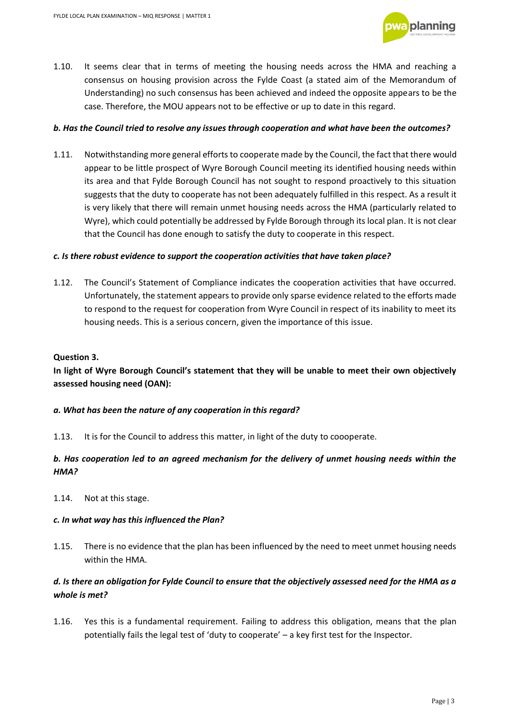

1.10. It seems clear that in terms of meeting the housing needs across the HMA and reaching a consensus on housing provision across the Fylde Coast (a stated aim of the Memorandum of Understanding) no such consensus has been achieved and indeed the opposite appears to be the case. Therefore, the MOU appears not to be effective or up to date in this regard.

#### *b. Has the Council tried to resolve any issues through cooperation and what have been the outcomes?*

1.11. Notwithstanding more general efforts to cooperate made by the Council, the fact that there would appear to be little prospect of Wyre Borough Council meeting its identified housing needs within its area and that Fylde Borough Council has not sought to respond proactively to this situation suggests that the duty to cooperate has not been adequately fulfilled in this respect. As a result it is very likely that there will remain unmet housing needs across the HMA (particularly related to Wyre), which could potentially be addressed by Fylde Borough through its local plan. It is not clear that the Council has done enough to satisfy the duty to cooperate in this respect.

#### *c. Is there robust evidence to support the cooperation activities that have taken place?*

1.12. The Council's Statement of Compliance indicates the cooperation activities that have occurred. Unfortunately, the statement appears to provide only sparse evidence related to the efforts made to respond to the request for cooperation from Wyre Council in respect of its inability to meet its housing needs. This is a serious concern, given the importance of this issue.

#### **Question 3.**

## **In light of Wyre Borough Council's statement that they will be unable to meet their own objectively assessed housing need (OAN):**

#### *a. What has been the nature of any cooperation in this regard?*

1.13. It is for the Council to address this matter, in light of the duty to coooperate.

## *b. Has cooperation led to an agreed mechanism for the delivery of unmet housing needs within the HMA?*

1.14. Not at this stage.

#### *c. In what way has this influenced the Plan?*

1.15. There is no evidence that the plan has been influenced by the need to meet unmet housing needs within the HMA.

## *d. Is there an obligation for Fylde Council to ensure that the objectively assessed need for the HMA as a whole is met?*

1.16. Yes this is a fundamental requirement. Failing to address this obligation, means that the plan potentially fails the legal test of 'duty to cooperate' – a key first test for the Inspector.